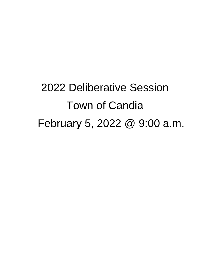2022 Deliberative Session Town of Candia February 5, 2022 @ 9:00 a.m.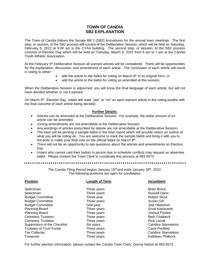# **TOWN OF CANDIA SB2 EXPLANATION**

The Town of Candia follows the Senate Bill 2 (SB2) procedures for the annual town meetings. The first step, or session, of the SB2 process will consist of the Deliberative Session, which will be held on Saturday, February 5, 2022 at 9:00 am in the CYAA building. The second step, or session, of the SB2 process consists of Election Day which will be held on Tuesday, March 8, 2022 from 6 am to 7 pm at the Candia Youth Athletic Association.

At the February 5<sup>th</sup> Deliberative Session all warrant articles will be considered. There will be opportunities for the explanation, discussion, and amendment of each article. The conclusion of each article will result in voting to either:

- add the article to the ballot for voting on March  $8<sup>th</sup>$  in its original form, or
- add the article to the ballot for voting as amended at this session.

When the Deliberative Session is adjourned, you will know the final language of each article, but will not have decided whether or not it passed.

On March 8<sup>th</sup>, Election Day, voters will mark "yes" or "no" on each warrant article in the voting booths with the final outcome of each article being decided.

#### **Further Details:**

- Articles can be amended at the Deliberative Session. For example, the dollar amount of an article can be amended.
- Zoning amendments are not amendable at the Deliberative Session.
- Any wordings of articles prescribed by statute are not amendable at the Deliberative Session.
- The town will be printing a sample ballot in the town report which will provide voters an outline of what you will be voting on. You are welcome to mark the sample ballot and bring it with you to the polls to make your final vote on the official ballot on March 8<sup>th</sup>.
- There will not be an opportunity to ask questions about the articles and amendments on Election Day.
- Voters who cannot cast their ballots in person due to schedule conflicts may request an absentee ballot. Please contact the Town Clerk to coordinate this process at 483-5573

The Candia Filing Period begins January 19<sup>rth</sup>and ends January 28<sup>th</sup>, 2022. The following positions are open for candidates:

| <b>Position</b><br><b>Length of Term</b> |             | <b>Incumbent</b>          |
|------------------------------------------|-------------|---------------------------|
| Selectman                                | Three years | <b>Brien Brock</b>        |
| Selectman                                | Three years | <b>Russell Dann</b>       |
| <b>Budget Committee</b>                  | Three year  | <b>Robert Stout</b>       |
| <b>Budget Committee</b>                  | Three years | Susan Gill                |
| <b>Budget Committee</b>                  | One year    | Jodi Hedstrom             |
| <b>Planning Board</b>                    | Three years | Scott Komisarek           |
| Planning Board                           | Three years | Joshua Pouliot            |
| <b>Cemetery Trustees</b>                 | Three years | <b>Beth Chalbeck</b>      |
| <b>Cemetery Trustees</b>                 | Three years | <b>Rick Lazott</b>        |
| Supervisors of the Checklist             | Six years   | <b>Candice Stamatelos</b> |
| <b>Trustees of Trust Funds</b>           | Three years | Carla Penfield            |
| <b>Tax Collector</b>                     | Three years | <b>Candice Stamatelos</b> |
| Treasurer                                | Three years | Kathleen Philbrick        |

For further election information, please contact the Candia Town Clerk, Donna Hetzel at 483-5573.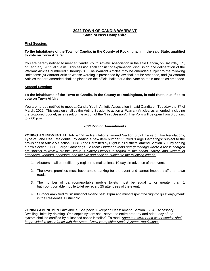# **2022 TOWN OF CANDIA WARRANT State of New Hampshire**

#### **First Session:**

#### **To the Inhabitants of the Town of Candia, in the County of Rockingham, in the said State, qualified to vote on Town Affairs:**

You are hereby notified to meet at Candia Youth Athletic Association in the said Candia, on Saturday, 5<sup>th</sup>, of February, 2022 at 9 a.m. This session shall consist of explanation, discussion and deliberation of the Warrant Articles numbered 1 through 31. The Warrant Articles may be amended subject to the following limitations: (a) Warrant Articles whose wording is prescribed by law shall not be amended, and (b) Warrant Articles that are amended shall be placed on the official ballot for a final vote on main motion as amended.

#### **Second Session:**

#### **To the inhabitants of the Town of Candia, in the County of Rockingham, in said State, qualified to vote on Town Affairs:**

You are hereby notified to meet at Candia Youth Athletic Association in said Candia on Tuesday the 8<sup>th</sup> of March, 2022. This session shall be the Voting Session to act on all Warrant Articles, as amended, including the proposed budget, as a result of the action of the "First Session". The Polls will be open from 6:00 a.m. to 7:00 p.m.

#### **2022 Zoning Amendments**

**ZONING AMENDMENT #1**: Article V-Use Regulations: amend Section 5.02A Table of Use Regulations, Type of Land Use, Residential: by adding a new item number 15 titled "Large Gatherings" subject to the provisions of Article V Section 5.03(E) and Permitted by Right in all districts; amend Section 5.03 by adding a new Section 5.03E: Large Gatherings. To read: *Outdoor events and gatherings where a fee is charged are subject to review by the Health & Safety Officers in regard to the health, safety, and welfare of attendees, vendors, sponsors, and the like and shall be subject to the following criteria:*

- 1. Abutters shall be notified by registered mail at least 10 days in advance of the event;
- 2. The event premises must have ample parking for the event and cannot impede traffic on town roads;
- 3. The number of bathroom/portable mobile toilets must be equal to or greater than 1 bathroom/portable mobile toilet per every 25 attendees of the event;
- 4. Outdoor amplified music must not extend past 11pm and must respect the "right to quiet enjoyment" in the Residential District "R".

**ZONING AMENDMENT #2**: Article XV-Special Exception Uses: amend Section 15.04E Accessory Dwelling Units: by deleting "One septic system shall serve the entire property and adequacy of the system shall be certified by a licensed septic installer". To read: *Adequate sewer and water service shall be provided in accordance with the State of New Hampshire Septic System Regulations.*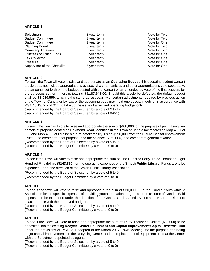#### **ARTICLE 1.**

| Selectman                      | 3 year term | Vote for Two |
|--------------------------------|-------------|--------------|
| <b>Budget Committee</b>        | 3 year term | Vote for Two |
| <b>Budget Committee</b>        | 1 year term | Vote for One |
| <b>Planning Board</b>          | 3 year term | Vote for Two |
| <b>Cemetery Trustees</b>       | 3 year term | Vote for Two |
| <b>Trustees of Trust Funds</b> | 3 year term | Vote for One |
| <b>Tax Collector</b>           | 3 year term | Vote for One |
| Treasurer                      | 3 year term | Vote for One |
| Supervisor of the Checklist    | 6 year term | Vote for One |

### **ARTICLE 2.**

To see if the Town will vote to raise and appropriate as an **Operating Budget**, this operating budget warrant article does not include appropriations by special warrant articles and other appropriations vote separately, the amounts set forth on the budget posted with the warrant or as amended by vote of the first session, for the purposes set forth therein, totaling **\$3,187,543.00**. Should this article be defeated, the default budget shall be **\$3,010,950**, which is the same as last year, with certain adjustments required by previous action of the Town of Candia or by law; or the governing body may hold one special meeting, in accordance with RSA 40:13, X and XVI, to take up the issue of a revised operating budget only.

(Recommended by the Board of Selectmen by a vote of 3 to 1)

(Recommended by the Board of Selectmen by a vote of 8-0-1)

### **ARTICLE 3.**

To see if the Town will vote to raise and appropriate the sum of \$400,000 for the purpose of purchasing two parcels of property located on Raymond Road, identified in the Town of Candia tax records as Map 409 Lot 096 and Map 409 Lot 097 for a future safety facility, using \$250,000 from the Future Capital Improvement Trust Fund created for that purpose, and the balance, \$150,000, is to come from general taxation.

(Recommended by the Board of Selectmen by a vote of 5 to 0)

(Recommended by the Budget Committee by a vote of 9 to 0)

# **ARTICLE 4.**

To see if the Town will vote to raise and appropriate the sum of One Hundred Forty-Three Thousand Eight Hundred Fifty dollars **(\$143,850)** for the operating expenses of the **Smyth Public Library**. Funds are to be expended under the direction of the Smyth Public Library Association.

(Recommended by the Board of Selectmen by a vote of 5 to 0)

(Recommended by the Budget Committee by a vote of 9 to 0)

#### **ARTICLE 5.**

To see if the town will vote to raise and appropriate the sum of \$20,000.00 to the Candia Youth Athletic Association for the specific expenses of providing youth recreation programs to the children of Candia. Said expenses to be expended under the direction of the Candia Youth Athletic Association Board of Directors in accordance with the approved budgets.

(Recommended by the Board of Selectmen by a vote of 5 to 0)

(Recommended by the Budget Committee by a vote of 9 to 0)

### **ARTICLE 6.**

To see if the Town will vote to raise and appropriate the sum of Thirty Thousand Dollars **(\$30,000)** to be deposited into the existing **Recycle Center Equipment and Capital Improvement Capital Reserve Fund** under the provisions of RSA 35:1 adopted at the March 2017 Town Meeting, for the purpose of funding major capital improvements in the Recycling Center and the replacement of equipment used at the Center with the Selectmen appointed as agents.

(Recommended by the Board of Selectmen by a vote of 5 to 0) (Recommended by the Budget Committee by a vote of 9 to 0)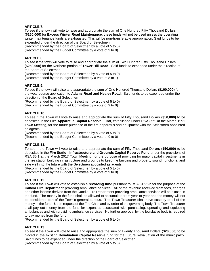### **ARTICLE 7.**

To see if the town will vote to raise and appropriate the sum of One Hundred Fifty Thousand Dollars **(\$150,000)** for **Excess Winter Road Maintenance**, these funds will not be used unless the operating winter maintenance funds are exhausted. This will be non-transferable appropriation. Said funds to be expended under the direction of the Board of Selectmen.

(Recommended by the Board of Selectmen by a vote of 5 to 0)

(Recommended by the Budget Committee by a vote of 9 to 0)

#### **ARTICLE 8.**

To see if the town will vote to raise and appropriate the sum of Two Hundred Fifty Thousand Dollars **(\$250,000)** for the Northern portion of **Tower Hill Road**. Said funds to expended under the direction of the Board of Selectmen.

(Recommended by the Board of Selectmen by a vote of 5 to 0)

(Recommended by the Budget Committee by a vote of 8 to 1)

#### **ARTICLE 9.**

To see if the town will raise and appropriate the sum of One Hundred Thousand Dollars **(\$100,000)** for the wear course application to **Adams Road and Healey Road**. Said funds to be expended under the direction of the Board of Selectmen

(Recommended by the Board of Selectmen by a vote of 5 to 0)

(Recommended by the Budget Committee by a vote of 9 to 0)

#### **ARTICLE 10.**

To see if the Town will vote to raise and appropriate the sum of Fifty Thousand Dollars **(\$50,000)** to be deposited in the **Fire Apparatus Capital Reserve Fund**, established under RSA 35:1 at the March 1991 Town Meeting, for the future purchase of the fire apparatus and equipment with the Selectmen appointed as agents.

(Recommended by the Board of Selectmen by a vote of 5 to 0)

(Recommended by the Budget Committee by a vote of 9 to 0)

#### **ARTICLE 11.**

To see if the Town will vote to raise and appropriate the sum of Fifty Thousand Dollars **(\$50,000)** to be deposited in the **Fire Station Infrastructure and Grounds Capital Reserve Fund** under the provisions of RSA 35:1 at the March 2017 Town Meeting, for the purpose of providing for major capital investments in the fire station building infrastructure and grounds to keep the building and property sound, functional and safe well into the future with the Selectmen appointed as agents.

(Recommended by the Board of Selectmen by a vote of 5 to 0)

(Recommended by the Budget Committee by a vote of 9 to 0)

#### **ARTICLE 12.**

To see if the Town will vote to establish a **revolving fund** pursuant to RSA 31:95-h for the purpose of the **Candia Fire Department** providing ambulance services. All of the revenue received from fees, charges and other income derived from the Candia Fire Department providing ambulance services will be placed in the fund. The money in the fund shall be allowed to accumulate from year-to-year and the money will not be considered part of the Town's general surplus. The Town Treasurer shall have custody of all of the money in the fund. Upon request of the Fire Chief and by order of the governing body, The Town Treasurer shall pay out money from the fund for expenses associated with purchasing, operating and equipping ambulances and with providing ambulance services. No further approval by the legislative body is required to pay money from the fund.

(Recommended by the Board of Selectmen by a vote of 5 to 0)

#### **ARTICLE 13.**

To see if the Town will vote to raise and appropriate the sum of Twenty Thousand Dollars **(\$20,000)** to be placed in the existing **Revaluation Capital Reserve** fund for the Future Revaluation of the municipality. Said funds to be expended under the direction of the Board of Selectmen.

(Recommended by the Board of Selectmen by a vote of 5 to 0)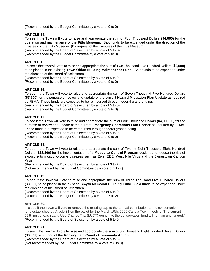(Recommended by the Budget Committee by a vote of 9 to 0)

### **ARTICLE 14.**

To see if the Town will vote to raise and appropriate the sum of Four Thousand Dollars **(\$4,000)** for the operation and maintenance of the **Fitts Museum**. Said funds to be expended under the direction of the Trustees of the Fitts Museum. (By request of the Trustees of the Fitts Museum).

(Recommended by the Board of Selectmen by a vote of 5 to 0)

(Recommended by the Budget Committee by a vote of 9 to 0)

### **ARTICLE 15.**

To see if the town will vote to raise and appropriate the sum of Two Thousand Five Hundred Dollars **(\$2,500)** to be placed in the existing **Town Office Building Maintenance Fund.** Said funds to be expended under the direction of the Board of Selectmen.

(Recommended by the Board of Selectmen by a vote of 5 to 0) (Recommended by the Budget Committee by a vote of 9 to 0)

### **ARTICLE 16.**

To see if the Town will vote to raise and appropriate the sum of Seven Thousand Five Hundred Dollars **(\$7,500)** for the purpose of review and update of the current **Hazard Mitigation Plan Update** as required by FEMA. These funds are expected to be reimbursed through federal grant funding.

(Recommended by the Board of Selectmen by a vote of 5 to 0)

(Recommended by the Budget Committee by a vote of 9 to 0)

### **ARTICLE 17.**

To see if the Town will vote to raise and appropriate the sum of Four Thousand Dollars **(\$4,000.00)** for the purpose of review and update of the current **Emergency Operations Plan Update** as required by FEMA. These funds are expected to be reimbursed through federal grant funding.

(Recommended by the Board of Selectmen by a vote of 5 to 0)

(Recommended by the Budget Committee by a vote of 9 to 0)

## **ARTICLE 18.**

To see if the Town will vote to raise and appropriate the sum of Twenty-Eight Thousand Eight Hundred Dollars **(\$28,800)** for the implementation of a **Mosquito Control Program** designed to reduce the risk of exposure to mosquito-borne diseases such as Zika, EEE, West Nile Virus and the Jamestown Canyon Virus.

(Recommended by the Board of Selectmen by a vote of 3 to 2)

(Not recommended by the Budget Committee by a vote of 5 to 4)

### **ARTICLE 19.**

To see if the town will vote to raise and appropriate the sum of Three Thousand Five Hundred Dollars **(\$3,500)** to be placed in the existing **Smyth Memorial Building Fund.** Said funds to be expended under the direction of the Board of Selectmen.

(Recommended by the Board of Selectmen by a vote of 5 to 0)

(Recommended by the Budget Committee by a vote of 7 to 2)

#### **ARTICLE 20.**

"To see if the Town will vote to remove the existing cap to the annual contribution to the conservation fund established by Article 31 on the ballot for the March 10th, 2009 Candia Town meeting. The current 25% limit of each Land Use Change Tax (LUCT) going into the conservation fund will remain unchanged." (Recommended by the Board of Selectmen by a vote of 5 to 0)

#### **ARTICLE 21.**

To see if the Town will vote to raise and appropriate the sum of Six Thousand Eight Hundred Seven Dollars **(\$6,807)** in support of the **Rockingham County Community Action.**

(Recommended by the Board of Selectmen by a vote of 5 to 0)

(Not recommended by the Budget Committee by a vote of 6 to 3)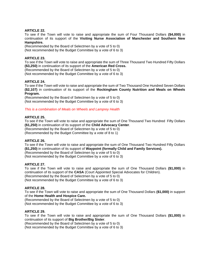### **ARTICLE 22.**

To see if the Town will vote to raise and appropriate the sum of Four Thousand Dollars **(\$4,000)** in continuation of its support of the **Visiting Nurse Association of Manchester and Southern New Hampshire.**

(Recommended by the Board of Selectmen by a vote of 5 to 0) (Not recommended by the Budget Committee by a vote of 6 to 3)

#### **ARTICLE 23.**

To see if the Town will vote to raise and appropriate the sum of Three Thousand Two Hundred Fifty Dollars **(\$3,250)** in continuation of its support of the **American Red Cross.**

(Recommended by the Board of Selectmen by a vote of 5 to 0)

(Not recommended by the Budget Committee by a vote of 6 to 3)

#### **ARTICLE 24.**

To see if the Town will vote to raise and appropriate the sum of Two Thousand One Hundred Seven Dollars **(\$2,107)** in continuation of its support of the **Rockingham County Nutrition and Meals on Wheels Program.** 

(Recommended by the Board of Selectmen by a vote of 5 to 0) (Not recommended by the Budget Committee by a vote of 6 to 3)

#### *This is a combination of Meals on Wheels and Lamprey Health*

#### **ARTICLE 25.**

To see if the Town will vote to raise and appropriate the sum of One Thousand Two Hundred Fifty Dollars **(\$1,250)** in continuation of its support of the **Child Advocacy Center**.

(Recommended by the Board of Selectmen by a vote of 5 to 0)

(Recommended by the Budget Committee by a vote of 8 to 1)

#### **ARTICLE 26.**

To see if the Town will vote to raise and appropriate the sum of One Thousand Two Hundred Fifty Dollars **(\$1,250)** in continuation of its support of **Waypoint (formally Child and Family Services).** (Recommended by the Board of Selectmen by a vote of 5 to 0)

(Not recommended by the Budget Committee by a vote of 6 to 3)

#### **ARTICLE 27.**

To see if the Town will vote to raise and appropriate the sum of One Thousand Dollars **(\$1,000)** in continuation of its support of the **CASA** (Court Appointed Special Advocates for Children). (Recommended by the Board of Selectmen by a vote of 5 to 0) (Not recommended by the Budget Committee by a vote of 6 to 3)

#### **ARTICLE 28.**

To see if the Town will vote to raise and appropriate the sum of One Thousand Dollars **(\$1,000)** in support of the **Home Health and Hospice Care.** 

(Recommended by the Board of Selectmen by a vote of 5 to 0) (Not recommended by the Budget Committee by a vote of 6 to 3)

#### **ARTICLE 29.**

To see if the Town will vote to raise and appropriate the sum of One Thousand Dollars **(\$1,000)** in continuation of its support of **Big Brother/Big Sister**.

(Recommended by the Board of Selectmen by a vote of 5 to 0)

(Not recommended by the Budget Committee by a vote of 6 to 3)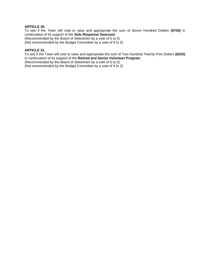# **ARTICLE 30.**

To see if the Town will vote to raise and appropriate the sum of Seven Hundred Dollars **(\$700)** in continuation of its support of the **Aids Response Seacoast**.

(Recommended by the Board of Selectmen by a vote of 5 to 0)

(Not recommended by the Budget Committee by a vote of 6 to 3)

#### **ARTICLE 31.**

To see if the Town will vote to raise and appropriate the sum of Two Hundred Twenty-Five Dollars **(\$225)** in continuation of its support of the **Retired and Senior Volunteer Program**.

(Recommended by the Board of Selectmen by a vote of 5 to 0)

(Not recommended by the Budget Committee by a vote of 6 to 3)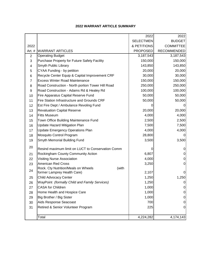# **2022 WARRANT ARTICLE SUMMARY**

|                |                                                   | 2022             | 2022               |
|----------------|---------------------------------------------------|------------------|--------------------|
|                |                                                   | <b>SELECTMEN</b> | <b>BUDGET</b>      |
| 2022           |                                                   | & PETITIONS      | <b>COMMITTEE</b>   |
| Art. #         | <b>WARRANT ARTICLES</b>                           | <b>PROPOSED</b>  | <b>RECOMMENDED</b> |
| $\overline{2}$ | <b>Operating Budget</b>                           | 3,187,543        | 3,187,543          |
| 3              | Purchase Property for Future Safety Facility      | 150,000          | 150,000            |
| 4              | Smyth Public Library                              | 143,850          | 143,850            |
| 5              | CYAA Funding - by petition                        | 20,000           | 20,000             |
| 6              | Recycle Center Equip & Capital Improvement CRF    | 30,000           | 30,000             |
| $\overline{7}$ | <b>Excess Winter Road Maintenance</b>             | 150,000          | 150,000            |
| 8              | Road Construction - North portion Tower Hill Road | 250,000          | 250,000            |
| 9              | Road Construction - Adams Rd & Healey Rd          | 100,000          | 100,000            |
| 10             | Fire Apparatus Capital Reserve Fund               | 50,000           | 50,000             |
| 11             | Fire Station Infrastructure and Grounds CRF       | 50,000           | 50,000             |
| 12             | Est Fire Dept / Ambulance Revoling Fund           |                  |                    |
| 13             | <b>Revaluation Capital Reserve</b>                | 20,000           | 20,000             |
| 14             | <b>Fitts Museum</b>                               | 4,000            | 4,000              |
| 15             | Town Office Building Maintenance Fund             | 2,500            | 2,500              |
| 16             | Update Hazard Mitigation Plan                     | 7,500            | 7,500              |
| 17             | <b>Update Emergency Operations Plan</b>           | 4,000            | 4,000              |
| 18             | Mosquito Control Program                          | 28,800           | 0                  |
| 19             | Smyth Memorial Building Fund                      | 3,500            | 3,500              |
| 20             | Resind maximum limit on LUCT to Conservation Comm |                  | 0                  |
| 21             | Rockingham County Community Action                | 6,807            | 0                  |
| 22             | <b>Visiting Nurse Association</b>                 | 4,000            | 0                  |
| 23             | <b>American Red Cross</b>                         | 3,250            | $\mathbf 0$        |
|                | Rock. Cty Nutrition/Meals on Wheels<br>(with      |                  |                    |
| 24             | former Lamprey Health Care)                       | 2,107            | 0                  |
| 25             | <b>Child Advocacy Center</b>                      | 1,250            | 1,250              |
| 26             | WayPoint (formally Child and Family Services)     | 1,250            | 0                  |
| 27             | <b>CASA for Children</b>                          | 1,000            | $\pmb{0}$          |
| 28             | Home Health and Hospice Care                      | 1,000            | 0                  |
| 29             | Big Brother / Big Sister                          | 1,000            | 0                  |
| 30             | Aids Response Seacoast                            | 700              | 0                  |
| 31             | Retired & Senior Volunteer Program                | 225              | $\mathbf 0$        |
|                |                                                   |                  |                    |
|                | Total                                             | 4,224,282        | 4,174,143          |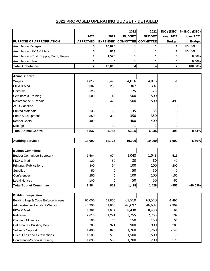|                                         |                 |                 | 2022             | 2022             |               | INC / (DEC) $\%$ INC / (DEC) |
|-----------------------------------------|-----------------|-----------------|------------------|------------------|---------------|------------------------------|
|                                         | 2021            | 2021            | <b>BUDGET</b>    | <b>BUDGET</b>    | over 2021     | over 2021                    |
| <b>PURPOSE OF APPROPRIATION</b>         | <b>APPROVED</b> | <b>EXPENDED</b> | <b>COMMITTEE</b> | <b>COMMITTEE</b> | <b>Budget</b> | <b>Budget</b>                |
| Ambulance - Wages                       | 0               | 10,628          | 1                | 1                | 1             | #DIV/0!                      |
| Ambulance - FICA & Medi                 | 0               | 813             |                  |                  | 1             | #DIV/0!                      |
| Ambulance - Cost, Supply, Maint, Repair |                 | 1,575           |                  |                  | 0             | 0.00%                        |
| Ambulance - Fuel                        | 1               | 0               | 1                | 1                | 0             | 0.00%                        |
| <b>Total Ambulance</b>                  | $\mathbf{2}$    | 13,016          | 4                | 4                | $\mathbf{2}$  | 100.00%                      |
|                                         |                 |                 |                  |                  |               |                              |
| <b>Animal Control</b>                   |                 |                 |                  |                  |               |                              |
| Wages                                   | 4,017           | 3,475           | 4,016            | 4,016            | -1            |                              |
| FICA & Medi                             | 307             | 266             | 307              | 307              | 0             |                              |
| Uniforms                                | 125             | 0               | 125              | 125              | 0             |                              |
| Seminars & Training                     | 500             | 40              | 500              | 500              | 0             |                              |
| Maintenance & Repair                    |                 | 475             | 500              | 500              | 499           |                              |
| ACO-Gasoline                            |                 | 0               | 1                | 1                | 0             |                              |
| <b>Printed Materials</b>                | 135             | 60              | 135              | 135              | 0             |                              |
| Shots & Equipment                       | 350             | 388             | 350              | 350              | 0             |                              |
| <b>Kennel Costs</b>                     | 400             | 0               | 400              | 400              | 0             |                              |
| Mileage                                 |                 | 82              | 1                |                  | O             |                              |
| <b>Total Animal Control</b>             | 5,837           | 4,787           | 6,335            | 6,335            | 498           | 8.54%                        |
|                                         |                 |                 |                  |                  |               |                              |
| <b>Auditing Services</b>                | 18,000          | 18,725          | 19,000           | 19,000           | 1,000         | 5.56%                        |
| <b>Budget Committee</b>                 |                 |                 |                  |                  |               |                              |
| <b>Budget Committee Secretary</b>       | 1,564           | 674             | 1,048            | 1,048            | $-516$        |                              |
| FICA & Medi                             | 120             | 52              | 80               | 80               | $-40$         |                              |
| Printing / Publications                 | 300             | 94              | 100              | 100              | $-200$        |                              |
| Supplies                                | 50              | $\overline{0}$  | 50               | 50               | 0             |                              |
| Conferences                             | 250             | 0               | 100              | 100              | $-150$        |                              |
| <b>Legal Notices</b>                    | 100             | $\overline{0}$  | 50               | 50               | $-50$         |                              |
| <b>Total Budget Committee</b>           | 2,384           | 819             | 1,428            | 1,428            | $-956$        | -40.09%                      |
|                                         |                 |                 |                  |                  |               |                              |
| <b>Building Inspection</b>              |                 |                 |                  |                  |               |                              |
| Building Insp & Code Enforce Wages      | 65,000          | 61,806          | 63,510           | 63,510           | $-1,490$      |                              |
| <b>Administrative Assistant Wages</b>   | 44,300          | 41,608          | 46,692           | 46,692           | 2,392         |                              |
| FICA & Medi                             | 8,362           | 7,949           | 8,430            | 8,430            | 68            |                              |
| Retirement                              | 2,616           | 1,291           | 2,755            | 2,755            | 139           |                              |
| <b>Clothing Allowance</b>               | 100             | 30              | 150              | 150              | 50            |                              |
| Cell Phone - Building Dept              | 700             | 321             | 900              | 900              | 200           |                              |
| Software Support                        | 1,400           | 825             | 1,260            | 1,260            | $-140$        |                              |
| Dues, Fees and Certifications           | 1,500           | 596             | 1,500            | 1,500            | 0             |                              |
| Conference/Schools/Training             | 1,030           | 505             | 1,200            | 1,200            | 170           |                              |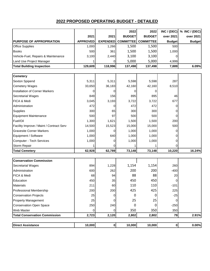|                                          |                 |                 | 2022             | 2022             | INC / (DEC)   | % INC / (DEC) |
|------------------------------------------|-----------------|-----------------|------------------|------------------|---------------|---------------|
|                                          | 2021            | 2021            | <b>BUDGET</b>    | <b>BUDGET</b>    | over 2021     | over 2021     |
| <b>PURPOSE OF APPROPRIATION</b>          | <b>APPROVED</b> | <b>EXPENDED</b> | <b>COMMITTEE</b> | <b>COMMITTEE</b> | <b>Budget</b> | <b>Budget</b> |
| <b>Office Supplies</b>                   | 1,000           | 1,266           | 1,500            | 1,500            | 500           |               |
| <b>Books</b>                             | 500             | 361             | 1,500            | 1,500            | 1,000         |               |
| Vehicle-Fuel, Repairs & Maintenance      | 3,100           | 2,440           | 3,100            | 3,100            | 0             |               |
| Land Use Project Manager                 |                 | 0               | 5,000            | 5,000            | 4,999         |               |
| <b>Total Building Inspection</b>         | 129,609         | 118,996         | 137,498          | 137,498          | 7,889         | 6.09%         |
|                                          |                 |                 |                  |                  |               |               |
| <b>Cemetery</b>                          |                 |                 |                  |                  |               |               |
| Sexton Spipend                           | 5,311           | 5,311           | 5,598            | 5,598            | 287           |               |
| <b>Cemetery Wages</b>                    | 33,650          | 36,183          | 42,160           | 42,160           | 8,510         |               |
| <b>Installation of Corner Markers</b>    | 0               | 0               | 0                | 0                |               |               |
| Secretarial Wages                        | 849             | 156             | 895              | 895              | 46            |               |
| FICA & Medi                              | 3,045           | 3,193           | 3,722            | 3,722            | 677           |               |
| Administration                           | 472             | 0               | 472              | 472              | 0             |               |
| Supplies                                 | 300             | 65              | 300              | 300              | 0             |               |
| <b>Equipment Maintenance</b>             | 500             | 97              | 500              | 500              | 0             |               |
| Fuel/Oil                                 | 1,300           | 1,621           | 1,500            | 1,500            | 200           |               |
| Facility Improve / Maint / Contract Serv | 14,500          | 15,523          | 15,000           | 15,000           | 500           |               |
| <b>Gravesite Corner Markers</b>          | 1,000           | 0               | 1,000            | 1,000            | 0             |               |
| Equipment / Software                     | 1,000           | 640             | 1,000            | 1,000            | 0             |               |
| Computer - Tech Services                 | 1,000           | 0               | 1,000            | 1,000            | 0             |               |
| Storm Repair                             |                 | 0               |                  |                  | 0             |               |
| <b>Total Cemetery</b>                    | 62,928          | 62,789          | 73,148           | 73,148           | 10,220        | 16.24%        |
|                                          |                 |                 |                  |                  |               |               |
| <b>Conservation Commission</b>           |                 |                 |                  |                  |               |               |
| Secretarial Wages                        | 894             | 1,228           | 1,154            | 1,154            | 260           |               |
| Administration                           | 600             | 262             | 200              | 200              | $-400$        |               |
| FICA & Medi                              | 68              | 94              | 88               | 88               | 20            |               |
| Education                                | 450             | 35              | 450              | 450              | $\Omega$      |               |
| <b>Materials</b>                         | 211             | 60              | 110              | 110              | $-101$        |               |
| Professional Membership                  | 200             | 200             | 425              | 425              | 225           |               |
| <b>Conservation Projects</b>             | 25              | 0               | 0                | 0                | $-25$         |               |
| <b>Property Management</b>               | 25              | 0               | 25               | 25               | 0             |               |
| <b>Conservation Open Space</b>           | 250             | 240             | 0                | 0                | $-250$        |               |
| Web Master                               | 0               | 0               | 350              | 350              | 350           |               |
| <b>Total Conservation Commission</b>     | 2,723           | 2,120           | 2,802            | 2,802            | 79            | 2.91%         |
|                                          |                 |                 |                  |                  |               |               |
| <b>Direct Assistance</b>                 | 10,000          | $\mathbf{0}$    | 10,000           | 10,000           | $\mathbf 0$   | 0.00%         |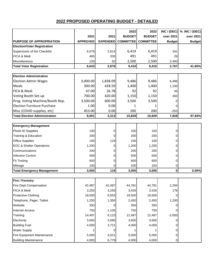|                                      |                 |                 | 2022             | 2022             | INC / (DEC)    | % INC / (DEC) |
|--------------------------------------|-----------------|-----------------|------------------|------------------|----------------|---------------|
|                                      | 2021            | 2021            | <b>BUDGET</b>    | <b>BUDGET</b>    | over 2021      | over 2021     |
| <b>PURPOSE OF APPROPRIATION</b>      | <b>APPROVED</b> | <b>EXPENDED</b> | <b>COMMITTEE</b> | <b>COMMITTEE</b> | <b>Budget</b>  | <b>Budget</b> |
| <b>Election/Voter Registration</b>   |                 |                 |                  |                  |                |               |
| Supervisors of the Checklist         | 6,078           | 2,614           | 6,419            | 6,419            | 341            |               |
| FICA & Medi                          | 465             | 200             | 491              | 491              | 26             |               |
| Miscellaneous                        | 100             | 62              | 2,500            | 2,500            | 2,400          |               |
| <b>Total Voter Registration</b>      | 6,643           | 2,876           | 9,410            | 9,410            | 2,767          | 41.65%        |
|                                      |                 |                 |                  |                  |                |               |
| <b>Election Administration</b>       |                 |                 |                  |                  |                |               |
| <b>Election Admin Wages</b>          | 3,000.00        | 1,838.09        | 9,486            | 9,486            | 6,486          |               |
| Meals                                | 300.00          | 428.59          | 1,400            | 1,400            | 1,100          |               |
| FICA & Medi                          | 47.00           | 26.78           | 92               | 92               | 45             |               |
| Voting Booth Set-up                  | 700.00          | 420.00          | 1,150            | 1,150            | 450            |               |
| Prog. Voting Machine/Booth Rep.      | 3,500.00        | 600.00          | 3,500            | 3,500            | 0              |               |
| <b>Election Furniture Purchase</b>   | 1.00            | 0.00            | 1                |                  | 0              |               |
| Misc (COVID supplies, etc)           | 453.00          | 0.00            | 200              | 200              | $-253$         |               |
| <b>Total Election Administration</b> | 8,001           | 3,313           | 15,829           | 15,829           | 7,828          | 97.84%        |
|                                      |                 |                 |                  |                  |                |               |
| <b>Emergency Management</b>          |                 |                 |                  |                  |                |               |
| Photo ID Supplies                    | 100             | 0               | 100              | 100              | 0              |               |
| Training & Education                 | 200             | 0               | 200              | 200              | $\overline{0}$ |               |
| <b>Office Supplies</b>               | 100             | 119             | 100              | 100              | 0              |               |
| <b>EOC &amp; Shelter Operations</b>  | 1,200           | 0               | 1,200            | 1,200            | $\overline{0}$ |               |
| Communications                       | 200             | 0               | 200              | 200              | $\mathbf{0}$   |               |
| <b>Infection Control</b>             | 500             | 0               | 500              | 500              | $\overline{0}$ |               |
| <b>Fit Testing</b>                   | 600             | 0               | 600              | 600              | $\overline{0}$ |               |
| Mileage                              | 100             | 0               | 100              | 100              | 0              |               |
| <b>Total Emergency Management</b>    | 3,000           | 119             | 3,000            | 3,000            | $\mathbf{0}$   | 0.00%         |
|                                      |                 |                 |                  |                  |                |               |
| <b>Fire / Forestry</b>               |                 |                 |                  |                  |                |               |
| Fire Dept Compensation               | 42,487          | 42,487          | 44,781           | 44,781           | 2,294          |               |
| FICA & Medi                          | 3,250           | 3,250           | 3,426            | 3,426            | 176            |               |
| Protective Clothing                  | 18,500          | 6,553           | 18,500           | 18,500           | $\overline{0}$ |               |
| Telephone, Pager, Tablet             | 1,250           | 1,350           | 2,450            | 2,450            | 1,200          |               |
| Website                              | 350             | 0               | 350              | 350              | 0              |               |
| <b>Internet Access</b>               | 750             | 1,105           | 750              | 750              | 0              |               |
| Training                             | 14,497          | 6,123           | 12,497           | 12,497           | $-2,000$       |               |
| Electricity                          | 3,600           | 3,585           | 3,600            | 3,600            | $\overline{0}$ |               |
| <b>Building Fuel</b>                 | 4,000           | 3,721           | 4,000            | 4,000            | 0              |               |
| <b>Water Supply</b>                  |                 | 0               |                  |                  | $\overline{0}$ |               |
| Fire Equipment Maintenance           | 5,000           | 4,021           | 5,000            | 5,000            | $\overline{0}$ |               |
| <b>Building Maintenance</b>          | 4,000           | 6,779           | 4,000            | 4,000            | $\overline{0}$ |               |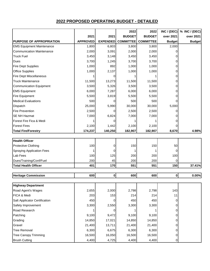|                                  |                 |                 | 2022             | 2022             | INC / (DEC)    | % INC / (DEC) |
|----------------------------------|-----------------|-----------------|------------------|------------------|----------------|---------------|
|                                  | 2021            | 2021            | <b>BUDGET</b>    | <b>BUDGET</b>    | over 2021      | over 2021     |
| <b>PURPOSE OF APPROPRIATION</b>  | <b>APPROVED</b> | <b>EXPENDED</b> | <b>COMMITTEE</b> | <b>COMMITTEE</b> | <b>Budget</b>  | <b>Budget</b> |
| <b>EMS Equipment Maintenance</b> | 1,800           | 6,803           | 3,800            | 3,800            | 2,000          |               |
| <b>Communication Maintenance</b> | 2,000           | 3,091           | 2,000            | 2,000            | 0              |               |
| <b>Truck Fuel</b>                | 3,450           | 3,148           | 3,450            | 3,450            | 0              |               |
| Dues                             | 3,700           | 1,245           | 3,700            | 3,700            | 0              |               |
| <b>Fire Dept Supplies</b>        | 1,000           | 892             | 1,000            | 1,000            | $\Omega$       |               |
| <b>Office Supplies</b>           | 1,000           | 2,137           | 1,000            | 1,000            | 0              |               |
| <b>Fire Dept Miscellaneous</b>   |                 | 0               |                  |                  | 0              |               |
| <b>Truck Maintenance</b>         | 11,500          | 13,273          | 11,500           | 11,500           | 0              |               |
| <b>Communication Equipment</b>   | 3,500           | 5,326           | 3,500            | 3,500            | 0              |               |
| <b>EMS Equipment</b>             | 6,000           | 7,287           | 6,000            | 6,000            | 0              |               |
| Fire Equipment                   | 5,500           | 3,819           | 5,500            | 5,500            | 0              |               |
| <b>Medical Evaluations</b>       | 500             | 0               | 500              | 500              | 0              |               |
| Dispatch                         | 25,000          | 5,990           | 30,000           | 30,000           | 5,000          |               |
| <b>Fire Prevention</b>           | 2,500           | 0               | 2,500            | 2,500            | 0              |               |
| SE NH Hazmat                     | 7,000           | 6,824           | 7,000            | 7,000            | 0              |               |
| Forest Fire Fica & Medi          | 1               | 0               |                  |                  | 0              |               |
| <b>Forest Fires</b>              | 2,100           | 1,442           | 2,100            | 2,100            | 0              |               |
| <b>Total Fire/Forestry</b>       | 174,237         | 140,250         | 182,907          | 182,907          | 8,670          | 4.98%         |
|                                  |                 |                 |                  |                  |                |               |
| <b>Health Officer</b>            |                 |                 |                  |                  |                |               |
| <b>Protective Clothing</b>       | 100             | 0               | 150              | 150              | 50             |               |
| <b>Spraying Application Fees</b> | 1               | 0               |                  |                  | 0              |               |
| Lab Fees                         | 100             | 125             | 200              | 200              | 100            |               |
| Dues/Training/Conf/Fuel          | 200             | 45              | 200              | 200              | 0              |               |
| <b>Total Health Officer</b>      | 401             | 170             | 551              | 551              | 150            | 37.41%        |
|                                  |                 |                 |                  |                  |                |               |
| <b>Heritage Commission</b>       | 600             | 0               | 600              | 600              | 0              | 0.00%         |
|                                  |                 |                 |                  |                  |                |               |
| <b>Highway Department</b>        |                 |                 |                  |                  |                |               |
| Road Agent's Wages               | 2,655           | 2,000           | 2,798            | 2,798            | 143            |               |
| FICA & Medi                      | 203             | 153             | 214              | 214              | 11             |               |
| Salt Applicator Certification    | 450             | 0               | 450              | 450              | 0              |               |
| Safety Improvement               | 3,300           | 2,550           | 3,300            | 3,300            | 0              |               |
| Road Research                    |                 | 0               |                  |                  | $\Omega$       |               |
| Patching                         | 9,100           | 9,472           | 9,100            | 9,100            | $\overline{0}$ |               |
| Grading                          | 14,850          | 17,021          | 14,850           | 14,850           | 0              |               |
| Gravel                           | 21,400          | 13,711          | 21,400           | 21,400           | 0              |               |
| <b>Tree Removal</b>              | 6,300           | 6,675           | 6,300            | 6,300            | 0              |               |
| <b>Tree Canopy Trimming</b>      | 16,500          | 16,050          | 16,500           | 16,500           | 0              |               |
| <b>Brush Cutting</b>             | 4,400           | 4,725           | 4,400            | 4,400            | 0              |               |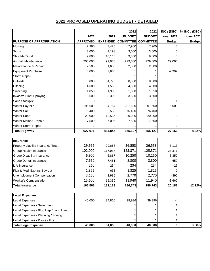|                                       |                 |                 | 2022             | 2022             |               | INC / (DEC) $\%$ INC / (DEC) |
|---------------------------------------|-----------------|-----------------|------------------|------------------|---------------|------------------------------|
|                                       | 2021            | 2021            | <b>BUDGET</b>    | <b>BUDGET</b>    | over 2021     | over 2021                    |
| PURPOSE OF APPROPRIATION              | <b>APPROVED</b> | <b>EXPENDED</b> | <b>COMMITTEE</b> | <b>COMMITTEE</b> | <b>Budget</b> | <b>Budget</b>                |
| Mowing                                | 7,960           | 7,425           | 7,960            | 7,960            | 0             |                              |
| Signs                                 | 3,000           | 1,198           | 3,000            | 3,000            | 0             |                              |
| Shoulder Work                         | 9,800           | 10,113          | 9,800            | 9,800            |               |                              |
| Asphalt Maintenance                   | 200,000         | 99,938          | 229,000          | 229,000          | 29,000        |                              |
| Maintenance & Repair                  | 2,500           | 1,683           | 2,500            | 2,500            | 0             |                              |
| <b>Equipment Purchase</b>             | 8,000           | 7,660           |                  |                  | $-7,999$      |                              |
| Storm Repair                          |                 | 0               |                  |                  | 0             |                              |
| Culverts                              | 8,000           | 4,778           | 8,000            | 8,000            | 0             |                              |
| Ditching                              | 4,600           | 1,565           | 4,600            | 4,600            | 0             |                              |
| Sweeping                              | 1,850           | 1,988           | 1,850            | 1,850            | 0             |                              |
| Invasive Plant Spraying               | 3,600           | 3,305           | 3,600            | 3,600            | 0             |                              |
| Sand Stockpile                        | 0               | 0               |                  |                  |               |                              |
| <b>Winter Payrolls</b>                | 195,600         | 194,764         | 201,600          | 201,600          | 6,000         |                              |
| <b>Winter Salt</b>                    | 76,400          | 52,532          | 76,400           | 76,400           | 0             |                              |
| <b>Winter Sand</b>                    | 20,000          | 18,536          | 20,000           | 20,000           | 0             |                              |
| Winter Maint & Repair                 | 7,500           | 7,005           | 7,500            | 7,500            | 0             |                              |
| Winter Storm Repair                   |                 | 0               |                  |                  |               |                              |
| <b>Total Highway</b>                  | 627,971         | 484,845         | 655,127          | 655,127          | 27,156        | 4.32%                        |
|                                       |                 |                 |                  |                  |               |                              |
| <b>Insurance</b>                      |                 |                 |                  |                  |               |                              |
| Property Liability Insurance Trust    | 29,666          | 29,666          | 26,553           | 26,553           | $-3,113$      |                              |
| Group Health Insurance                | 102,000         | 117,938         | 125,371          | 125,371          | 23,371        |                              |
| Group Disability Insurance            | 6,900           | 6,867           | 10,250           | 10,250           | 3,350         |                              |
| <b>Group Dental Insurance</b>         | 7,650           | 7,461           | 8,300            | 8,300            | 650           |                              |
| Life Insurance                        | 260             | 254             | 234              | 234              | $-26$         |                              |
| Fica & Medi Exp Ins Buy-out           | 1,325           | 633             | 1,325            | 1,325            | 0             |                              |
| <b>Unemployment Compensation</b>      | 3,160           | 2,985           | 2,770            | 2,770            | $-390$        |                              |
| <b>Worker's Compensation</b>          | 15,600          | 15,330          | 11,940           | 11,940           | $-3,660$      |                              |
| <b>Total Insurance</b>                | 166,561         | 181,133         | 186,743          | 186,743          | 20,182        | 12.12%                       |
|                                       |                 |                 |                  |                  |               |                              |
| <b>Legal Expenses</b>                 |                 |                 |                  |                  |               |                              |
| Legal Expenses                        | 40,000          | 34,860          | 39,996           | 39,996           | -4            |                              |
| Legal Expenses - Selectmen            |                 |                 |                  |                  |               |                              |
| Legal Expenses - Bldg Insp / Land Use |                 |                 |                  |                  |               |                              |
| Legal Expenses - Planning / Zoning    |                 |                 |                  |                  |               |                              |
| Legal Expenses - Police / Fire        |                 |                 |                  |                  |               |                              |
| <b>Total Legal Expense</b>            | 40,000          | 34,860          | 40,000           | 40,000           | $\bf{0}$      | 0.00%                        |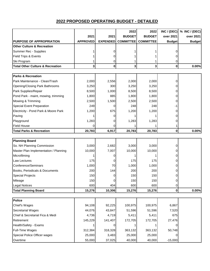|                                             |                 |                 | 2022             | 2022             | INC / (DEC)   | % INC / (DEC) |
|---------------------------------------------|-----------------|-----------------|------------------|------------------|---------------|---------------|
|                                             | 2021            | 2021            | <b>BUDGET</b>    | <b>BUDGET</b>    | over 2021     | over 2021     |
| <b>PURPOSE OF APPROPRIATION</b>             | <b>APPROVED</b> | <b>EXPENDED</b> | <b>COMMITTEE</b> | <b>COMMITTEE</b> | <b>Budget</b> | <b>Budget</b> |
| <b>Other Culture &amp; Recreation</b>       |                 |                 |                  |                  |               |               |
| Summer Rec - Supplies                       |                 | 0               |                  |                  | 0             |               |
| Field Trips & Events                        |                 | 0               |                  |                  |               |               |
| Ski Program                                 |                 | 0               |                  |                  | 0             |               |
| <b>Total Other Culture &amp; Recreation</b> | 3               | $\bf{0}$        | 3                | 3                | 0             | 0.00%         |
|                                             |                 |                 |                  |                  |               |               |
| <b>Parks &amp; Recreation</b>               |                 |                 |                  |                  |               |               |
| Park Maintenance - Clean/Trash              | 2,000           | 2,556           | 2,000            | 2,000            | 0             |               |
| Opening/Closing Park Bathrooms              | 3,250           | 300             | 3,250            | 3,250            | 0             |               |
| Park Supplies/Repair                        | 8,500           | 1,000           | 8,500            | 8,500            | 0             |               |
| Pond Park - maint, mowing, trimming         | 1,800           | 885             | 1,800            | 1,800            | 0             |               |
| Mowing & Trimming                           | 2,500           | 1,500           | 2,500            | 2,500            | 0             |               |
| <b>Special Event Preparation</b>            | 249             | 0               | 248              | 248              | -1            |               |
| Electricity - Pond Park & Moore Park        | 1,200           | 675             | 1,200            | 1,200            | 0             |               |
| Paving                                      |                 | 0               |                  |                  | 0             |               |
| Playground                                  | 1,283           | 0               | 1,283            | 1,283            | 0             |               |
| <b>Field House</b>                          | 0               | 0               |                  |                  |               |               |
| <b>Total Parks &amp; Recreation</b>         | 20,783          | 6,917           | 20,783           | 20,783           | 0             | 0.00%         |
|                                             |                 |                 |                  |                  |               |               |
| <b>Planning Board</b>                       |                 |                 |                  |                  |               |               |
| So. NH Planning Commission                  | 3,000           | 2,682           | 3,000            | 3,000            | 0             |               |
| Master Plan Implementation / Planning       | 10,000          | 7,007           | 10,000           | 10,000           | 0             |               |
| Microfilming                                |                 | 0               |                  |                  | 0             |               |
| Law Lectures                                | 175             | 0               | 175              | 175              | 0             |               |
| Conference/Seminars                         | 1,000           | 70              | 1,000            | 1,000            | 0             |               |
| Books, Periodicals & Documents              | 200             | 144             | 200              | 200              | 0             |               |
| <b>Special Projects</b>                     | 150             | 0               | 150              | 150              | 0             |               |
| Mileage                                     | 150             | 0               | 150              | 150              | 0             |               |
| <b>Legal Notices</b>                        | 600             | 404             | 600              | 600              | 0             |               |
| <b>Total Planning Board</b>                 | 15,276          | 10,306          | 15,276           | 15,276           | 0             | 0.00%         |
|                                             |                 |                 |                  |                  |               |               |
| <b>Police</b>                               |                 |                 |                  |                  |               |               |
| Chief's Wages                               | 94,108          | 92,225          | 100,975          | 100,975          | 6,867         |               |
| Secretarial Wages                           | 44,076          | 43,847          | 51,596           | 51,596           | 7,520         |               |
| Chief & Secretarial Fica & Medi             | 4,736           | 4,719           | 5,411            | 5,411            | 675           |               |
| Retirement                                  | 145,229         | 141,407         | 172,705          | 172,705          | 27,476        |               |
| Health/Safety - Exams                       |                 | 0               |                  |                  | 0             |               |
| Full-Time Wages                             | 312,384         | 318,328         | 363,132          | 363,132          | 50,748        |               |
| Special Police Officer wages                | 25,000          | 3,483           | 25,000           | 25,000           | 0             |               |
| Overtime                                    | 55,000          | 37,025          | 40,000           | 40,000           | $-15,000$     |               |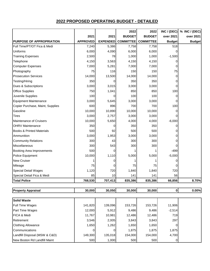|                                      |                 |                 | 2022             | 2022             |               | INC / (DEC) $\%$ INC / (DEC) |
|--------------------------------------|-----------------|-----------------|------------------|------------------|---------------|------------------------------|
|                                      | 2021            | 2021            | <b>BUDGET</b>    | <b>BUDGET</b>    | over 2021     | over 2021                    |
| <b>PURPOSE OF APPROPRIATION</b>      | <b>APPROVED</b> | <b>EXPENDED</b> | <b>COMMITTEE</b> | <b>COMMITTEE</b> | <b>Budget</b> | <b>Budget</b>                |
| Full Time/PT/OT Fica & Medi          | 7,240           | 5,386           | 7,758            | 7,758            | 518           |                              |
| Uniforms                             | 6,000           | 4,090           | 6,000            | 6,000            | 0             |                              |
| <b>Training Expenses</b>             | 2,500           | 78              | 1,000            | 1,000            | $-1,500$      |                              |
| Telephone                            | 4,150           | 3,563           | 4,150            | 4,150            | 0             |                              |
| <b>Computer Expenses</b>             | 7,000           | 5,281           | 7,000            | 7,000            | 0             |                              |
| Photography                          | 75              | 116             | 150              | 150              | 75            |                              |
| <b>Prosecution Services</b>          | 14,000          | 13,500          | 14,000           | 14,000           | 0             |                              |
| Testing/Hiring                       | 350             | 0               | 350              | 350              | 0             |                              |
| Dues & Subscriptions                 | 3,000           | 3,015           | 3,000            | 3,000            | 0             |                              |
| <b>Office Supplies</b>               | 750             | 1,041           | 850              | 850              | 100           |                              |
| Juvenile Supplies                    | 100             | 0               | 100              | 100              | 0             |                              |
| <b>Equipment Maintenance</b>         | 3,000           | 5,645           | 3,000            | 3,000            | 0             |                              |
| Copier Purchase, Maint, Supplies     | 600             | 896             | 700              | 700              | 100           |                              |
| Gasoline                             | 10,000          | 10,890          | 10,000           | 10,000           | 0             |                              |
| <b>Tires</b>                         | 3,000           | 2,757           | 3,000            | 3,000            | $\Omega$      |                              |
| <b>Maintenance of Cruisers</b>       | 10,000          | 5,650           | 4,000            | 4,000            | $-6,000$      |                              |
| <b>OHRV Maintenance</b>              | 350             | 0               | 350              | 350              | 0             |                              |
| <b>Books &amp; Printed Materials</b> | 500             | 92              | 500              | 500              | $\Omega$      |                              |
| Ammunition                           | 3,000           | 1,953           | 3,000            | 3,000            | 0             |                              |
| <b>Community Relations</b>           | 300             | 43              | 300              | 300              | $\Omega$      |                              |
| Miscellaneous                        | 300             | 543             | 300              | 300              | 0             |                              |
| Booking Area Improvements            | 500             | 0               |                  |                  | $-499$        |                              |
| Police Equipment                     | 10,000          | 1,110           | 5,000            | 5,000            | $-5,000$      |                              |
| New Cruiser                          |                 | 0               |                  |                  | 0             |                              |
| Mileage                              | 75              | 0               | 75               | 75               | 0             |                              |
| <b>Special Detail Wages</b>          | 1,120           | 720             | 1,840            | 1,840            | 720           |                              |
| Special Detail Fica & Medi           | 85              | 10              | 141              | 141              | 56            |                              |
| <b>Total Police</b>                  | 768,530         | 707,413         | 835,386          | 835,386          | 66,856        | 8.70%                        |

**Property Appraisal 30,000 30,050 30,000 30,000 0 0.00%**

| <b>Solid Waste</b>            |         |         |         |         |          |  |
|-------------------------------|---------|---------|---------|---------|----------|--|
| Full Time Wages               | 141,820 | 139,096 | 153,726 | 153,726 | 11,906   |  |
| Part Time Wages               | 12,000  | 5,912   | 9,486   | 9,486   | $-2,514$ |  |
| <b>FICA &amp; Medi</b>        | 11,767  | 10,981  | 12,486  | 12,486  | 719      |  |
| Retirement                    | 3,546   | 2,005   | 3,843   | 3.843   | 297      |  |
| <b>Clothing Allowance</b>     | 1,650   | 1,262   | 1,650   | 1,650   |          |  |
| <b>Communications</b>         |         | 01      | 1.875   | 1.875   | 1,875    |  |
| Landfill Disposal (MSW & C&D) | 149,300 | 135,018 | 154,000 | 154.000 | 4,700    |  |
| New Boston Rd Landfill Maint  | 500     | 1,000   | 500     | 500     |          |  |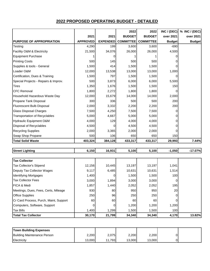|                                      |                 |                 | 2022             | 2022             | INC / (DEC)    | % INC / (DEC) |
|--------------------------------------|-----------------|-----------------|------------------|------------------|----------------|---------------|
|                                      | 2021            | 2021            | <b>BUDGET</b>    | <b>BUDGET</b>    | over 2021      | over 2021     |
| <b>PURPOSE OF APPROPRIATION</b>      | <b>APPROVED</b> | <b>EXPENDED</b> | <b>COMMITTEE</b> | <b>COMMITTEE</b> | <b>Budget</b>  | <b>Budget</b> |
| Testing                              | 4,290           | 199             | 3,600            | 3,600            | $-690$         |               |
| Facility O&M & Electricity           | 21,500          | 34,076          | 26,000           | 26,000           | 4,500          |               |
| <b>Equipment Purchase</b>            |                 | 0               |                  |                  | 0              |               |
| <b>Printing Costs</b>                | 500             | 145             | 500              | 500              | 0              |               |
| Supplies & tools - General           | 1,500           | 414             | 1,500            | 1,500            | $\Omega$       |               |
| Loader O&M                           | 12,000          | 13,538          | 13,000           | 13,000           | 1,000          |               |
| Certification, Dues & Training       | 1,500           | 797             | 1,500            | 1,500            | $\overline{0}$ |               |
| Special Projects - Repairs & Improv. | 500             | 3,873           | 6,000            | 6,000            | 5,500          |               |
| <b>Tires</b>                         | 1,350           | 1,676           | 1,500            | 1,500            | 150            |               |
| <b>CFC Removal</b>                   | 1,800           | 2,272           | 1,800            | 1,800            | $\Omega$       |               |
| Household Hazardous Waste Day        | 12,000          | 15,679          | 14,000           | 14,000           | 2,000          |               |
| Propane Tank Disposal                | 300             | 336             | 500              | 500              | 200            |               |
| Fluorescent Bulb Disposal            | 2,000           | 3,332           | 2,200            | 2,200            | 200            |               |
| Glass Disposal Charges               | 7,500           | 4,250           | 7,500            | 7,500            | 0              |               |
| <b>Transportation of Recyclables</b> | 5,000           | 4,667           | 5,000            | 5,000            | 0              |               |
| <b>Hydraulic Equipment O&amp;M</b>   | 4,000           | 129             | 4,000            | 4,000            | 0              |               |
| Disposal of Recyclables              | 4,500           | 0               | 4,500            | 4,500            | 0              |               |
| <b>Recycling Supplies</b>            | 2,000           | 3,365           | 2,000            | 2,000            | $\Omega$       |               |
| Swap Shop Propane                    | 500             | 106             | 650              | 650              | 150            |               |
| <b>Total Solid Waste</b>             | 403,324         | 384,128         | 433,317          | 433,317          | 29,993         | 7.44%         |
|                                      |                 |                 |                  |                  |                |               |

| <b>Street Lighting</b> | ا3.150 | 16,931 | .100 | .100 <sup>1</sup> | .050 | 17.07% |
|------------------------|--------|--------|------|-------------------|------|--------|
|------------------------|--------|--------|------|-------------------|------|--------|

| <b>Tax Collector</b>                   |        |          |        |        |       |        |
|----------------------------------------|--------|----------|--------|--------|-------|--------|
| <b>Tax Collector's Stipend</b>         | 12,156 | 10,445   | 13,197 | 13,197 | 1,041 |        |
| Deputy Tax Collector Wages             | 9,117  | 6,485    | 10,631 | 10,631 | 1,514 |        |
| <b>Identifying Mortgages</b>           | 1,400  |          | 1,500  | 1,500  | 100   |        |
| <b>Tax Collector Fees</b>              | 3,000  | 1,894    | 3,000  | 3,000  | 0     |        |
| <b>IFICA &amp; Medi</b>                | 1,857  | 1,440    | 2,052  | 2,052  | 195   |        |
| Meetings, Dues, Fees, Certs, Mileage   | 930    | 80       | 950    | 950    | 20    |        |
| <b>Office Supplies</b>                 | 250    | 96       | 250    | 250    | 0     |        |
| Cr Card Process, Purch, Maint, Support | 60I    | 60I      | 60     | 60     |       |        |
| Computers, Software, Support           | 0      | $\Omega$ | 1,200  | 1,200  | 1,200 |        |
| <b>Tax Bills</b>                       | 1,400  | 1,299    | 1,500  | 1,500  | 100   |        |
| <b>Total Tax Collector</b>             | 30,170 | 21,799   | 34,340 | 34,340 | 4,170 | 13.82% |

| <b>Town Building Expenses</b> |        |         |        |        |  |
|-------------------------------|--------|---------|--------|--------|--|
| Building Maintenance Person   | 2,200  | 2.075   | 2.200  | 2,200  |  |
| <b>Electricity</b>            | 13,000 | ا 793.، | 13.000 | 13.000 |  |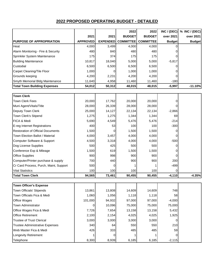|                                          |                 |                 | 2022             | 2022             |               | INC / (DEC) $\%$ INC / (DEC) |
|------------------------------------------|-----------------|-----------------|------------------|------------------|---------------|------------------------------|
|                                          | 2021            | 2021            | <b>BUDGET</b>    | <b>BUDGET</b>    | over 2021     | over 2021                    |
| PURPOSE OF APPROPRIATION                 | <b>APPROVED</b> | <b>EXPENDED</b> | <b>COMMITTEE</b> | <b>COMMITTEE</b> | <b>Budget</b> | <b>Budget</b>                |
| Heat                                     | 4,000           | 3,499           | 4,000            | 4,000            | 0             |                              |
| Alarm Monitoring - Fire & Security       | 480             | 840             | 480              | 480              | 0             |                              |
| Sprinkler System Maintenance             | 175             | 374             | 175              | 175              | 0             |                              |
| <b>Building Maintenance</b>              | 10,817          | 18,040          | 5,000            | 5,000            | $-5,817$      |                              |
| Custodial                                | 6,500           | 6,500           | 6,500            | 6,500            | 0             |                              |
| Carpet Cleaning/Tile Floor               | 1,000           | 0               | 1,000            | 1,000            | 0             |                              |
| Grounds keeping                          | 4,200           | 2,231           | 4,200            | 4,200            | 0             |                              |
| Smyth Memorial Bldg Maintenance          | 11,640          | 4,958           | 11,460           | 11,460           | $-180$        |                              |
| <b>Total Town Building Expenses</b>      | 54,012          | 50,312          | 48,015           | 48,015           | $-5,997$      | $-11.10%$                    |
|                                          |                 |                 |                  |                  |               |                              |
| <b>Town Clerk</b>                        |                 |                 |                  |                  |               |                              |
| <b>Town Clerk Fees</b>                   | 20,000          | 17,762          | 20,000           | 20,000           | 0             |                              |
| Muni Agent/Vitals/Title                  | 28,000          | 26,339          | 28,000           | 28,000           | 0             |                              |
| Deputy Town Clerk                        | 25,000          | 14,127          | 22,134           | 22,134           | $-2,866$      |                              |
| Town Clerk's Stipend                     | 1,275           | 1,275           | 1,344            | 1,344            | 69            |                              |
| FICA & Medi                              | 5,690           | 4,549           | 5,476            | 5,476            | $-214$        |                              |
| E-reg Internet Registrations             | 400             | 53              | 100              | 100              | $-300$        |                              |
| <b>Restoration of Official Documents</b> | 1,500           | 0               | 1,500            | 1,500            | 0             |                              |
| Town Election Ballot / Material          | 4,000           | 3,457           | 4,000            | 4,000            | 0             |                              |
| Computer Software & Support              | 4,500           | 3,318           | 4,000            | 4,000            | $-500$        |                              |
| Dog License Supplies                     | 500             | 425             | 500              | 500              | 0             |                              |
| Conference Exp & Mileage                 | 1,500           | 619             | 1,500            | 1,500            | 0             |                              |
| <b>Office Supplies</b>                   | 900             | 998             | 900              | 900              | 0             |                              |
| Computer/Printer purchase & supply       | 700             | 440             | 900              | 900              | 200           |                              |
| Cr Card Process, Purch, Maint, Support   | 500             | 0               |                  |                  | $-499$        |                              |
| <b>Vital Statistics</b>                  | 100             | 100             | 100              | 100              | 0             |                              |
| <b>Total Town Clerk</b>                  | 94,565          | 73,461          | 90,455           | 90,455           | $-4,110$      | $-4.35%$                     |
|                                          |                 |                 |                  |                  |               |                              |
| <b>Town Officer's Expense</b>            |                 |                 |                  |                  |               |                              |
| Town Officials' Stipends                 | 13,861          | 13,808          | 14,609           | 14,609           | 748           |                              |
| Town Officials Fica & Medi               | 1,060           | 1,056           | 1,118            | 1,118            | 58            |                              |
| Office Wages                             | 101,000         | 94,932          | 97,000           | 97,000           | $-4,000$      |                              |
| Town Administrator                       | 0               | 10,096          | 75,000           | 75,000           | 75,000        |                              |
| Office Wages Fica & Medi                 | 7,726           | 7,654           | 13,158           | 13,158           | 5,432         |                              |
| <b>Office Retirement</b>                 | 2,100           | 2,154           | 4,025            | 4,025            | 1,925         |                              |
| <b>Trustee of Trust Clerical</b>         | 3,000           | 3,000           | 3,000            | 3,000            | 0             |                              |
| <b>Trustee Administrative Expenses</b>   | 340             | 64              | 550              | 550              | 210           |                              |
| Web Master Fica & Medi                   | 426             | 333             | 485              | 485              | 59            |                              |
| Longevity Retirement                     |                 | 0               |                  |                  | 0             |                              |
| Telephone                                | 8,300           | 8,939           | 6,185            | 6,185            | $-2,115$      |                              |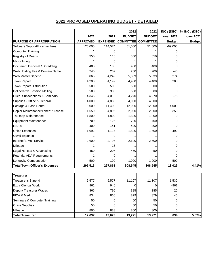|                                      |                 |                 | 2022             | 2022             | INC / (DEC)   | % INC / (DEC) |
|--------------------------------------|-----------------|-----------------|------------------|------------------|---------------|---------------|
|                                      | 2021            | 2021            | <b>BUDGET</b>    | <b>BUDGET</b>    | over 2021     | over 2021     |
| <b>PURPOSE OF APPROPRIATION</b>      | <b>APPROVED</b> | <b>EXPENDED</b> | <b>COMMITTEE</b> | <b>COMMITTEE</b> | <b>Budget</b> | <b>Budget</b> |
| Software Support/License Fees        | 120,000         | 114,574         | 51,000           | 51,000           | $-69,000$     |               |
| <b>Computer Training</b>             |                 | 0               |                  |                  | 0             |               |
| <b>Registry of Deeds</b>             | 350             | 113             | 350              | 350              | 0             |               |
| Microfilming                         | 1               | 0               |                  |                  | 0             |               |
| Document Disposal / Shredding        | 400             | 180             | 400              | 400              | 0             |               |
| Web Hosting Fee & Domain Name        | 245             | 202             | 200              | 200              | $-45$         |               |
| Web Master Stipend                   | 5,065           | 4,249           | 5,339            | 5,339            | 274           |               |
| Town Report                          | 4,200           | 4,199           | 4,400            | 4,400            | 200           |               |
| Town Report Distribution             | 500             | 500             | 500              | 500              | 0             |               |
| <b>Deliberative Session Mailing</b>  | 500             | 305             | 500              | 500              | 0             |               |
| Dues, Subscriptions & Seminars       | 4,345           | 4,010           | 4,270            | 4,270            | $-75$         |               |
| Supplies - Office & General          | 4,000           | 4,885           | 4,000            | 4,000            | 0             |               |
| Postage & Base Rental                | 8,000           | 11,409          | 12,000           | 12,000           | 4,000         |               |
| Copier Maintenance/Toner/Purchase    | 1,650           | 4,896           | 2,000            | 2,000            | 350           |               |
| Tax map Maintenance                  | 1,800           | 1,800           | 1,800            | 1,800            | 0             |               |
| <b>Equipment Maintenance</b>         | 700             | 125             | 700              | 700              | 0             |               |
| RSA's                                | 400             | 141             | 400              | 400              | 0             |               |
| <b>Office Expenses</b>               | 1,992           | 1,117           | 1,500            | 1,500            | $-492$        |               |
| Covid Expense                        | 1               | 0               |                  |                  | 0             |               |
| Internet/E-Mail Service              | 2,600           | 2,797           | 2,600            | 2,600            | 0             |               |
| Mileage                              |                 | 15              |                  |                  | 0             |               |
| Legal Notices & Advertising          | 450             | 207             | 450              | 450              | 0             |               |
| Potential ADA Requirements           | 1               | 0               |                  |                  | 0             |               |
| Longevity Compensation               | 500             | 100             | 1,000            | 1,000            | 500           |               |
| <b>Total Town Officer's Expenses</b> | 295,516         | 297,861         | 308,545          | 308,545          | 13,029        | 4.41%         |
|                                      |                 |                 |                  |                  |               |               |
| <b>Treasurer</b>                     |                 |                 |                  |                  |               |               |
| <b>Treasurer's Stipend</b>           | 9,577           | 9,577           | 11,107           | 11,107           | 1,530         |               |
| <b>Extra Clerical Work</b>           | 961             | 946             | 0                | 0                | $-961$        |               |
| Deputy Treasurer Wages               | 365             | 796             | 385              | 385              | 20            |               |
| FICA & Medi                          | 834             | 866             | 879              | 879              | 45            |               |
| Seminars & Computer Training         | 50              | 0               | 50               | 50               | 0             |               |
| <b>Office Supplies</b>               | 50              | 0               | 50               | 50               | 0             |               |
| Mileage                              | 800             | 838             | 800              | 800              | 0             |               |
| <b>Total Treasurer</b>               | 12,637          | 13,023          | 13,271           | 13,271           | 634           | 5.02%         |